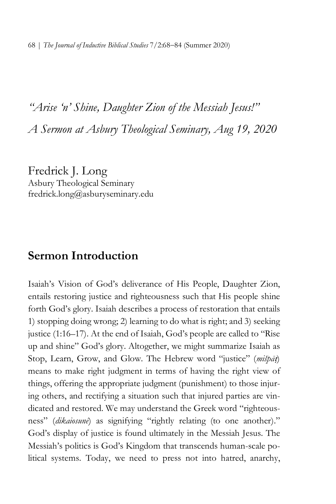# *"Arise 'n' Shine, Daughter Zion of the Messiah Jesus!" A Sermon at Asbury Theological Seminary, Aug 19, 2020*

Fredrick J. Long Asbury Theological Seminary fredrick.long@asburyseminary.edu

# **Sermon Introduction**

Isaiah's Vision of God's deliverance of His People, Daughter Zion, entails restoring justice and righteousness such that His people shine forth God's glory. Isaiah describes a process of restoration that entails 1) stopping doing wrong; 2) learning to do what is right; and 3) seeking justice (1:16–17). At the end of Isaiah, God's people are called to "Rise up and shine" God's glory. Altogether, we might summarize Isaiah as Stop, Learn, Grow, and Glow. The Hebrew word "justice" (*mišpā*ṭ) means to make right judgment in terms of having the right view of things, offering the appropriate judgment (punishment) to those injuring others, and rectifying a situation such that injured parties are vindicated and restored. We may understand the Greek word "righteousness" (*dikaiosunē*) as signifying "rightly relating (to one another)." God's display of justice is found ultimately in the Messiah Jesus. The Messiah's politics is God's Kingdom that transcends human-scale political systems. Today, we need to press not into hatred, anarchy,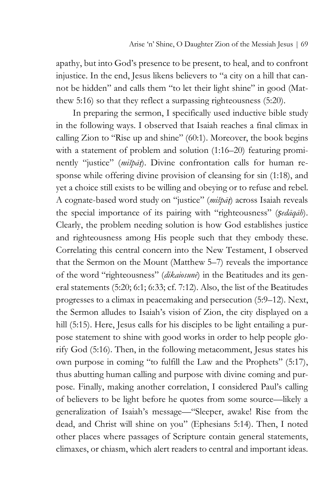apathy, but into God's presence to be present, to heal, and to confront injustice. In the end, Jesus likens believers to "a city on a hill that cannot be hidden" and calls them "to let their light shine" in good (Matthew 5:16) so that they reflect a surpassing righteousness (5:20).

In preparing the sermon, I specifically used inductive bible study in the following ways. I observed that Isaiah reaches a final climax in calling Zion to "Rise up and shine" (60:1). Moreover, the book begins with a statement of problem and solution  $(1:16-20)$  featuring prominently "justice" (*mišpā*ṭ). Divine confrontation calls for human response while offering divine provision of cleansing for sin (1:18), and yet a choice still exists to be willing and obeying or to refuse and rebel. A cognate-based word study on "justice" (*mišpā*ṭ) across Isaiah reveals the special importance of its pairing with "righteousness" (*ṣedāqāh*). Clearly, the problem needing solution is how God establishes justice and righteousness among His people such that they embody these. Correlating this central concern into the New Testament, I observed that the Sermon on the Mount (Matthew 5–7) reveals the importance of the word "righteousness" (*dikaiosunē*) in the Beatitudes and its general statements (5:20; 6:1; 6:33; cf. 7:12). Also, the list of the Beatitudes progresses to a climax in peacemaking and persecution (5:9–12). Next, the Sermon alludes to Isaiah's vision of Zion, the city displayed on a hill (5:15). Here, Jesus calls for his disciples to be light entailing a purpose statement to shine with good works in order to help people glorify God (5:16). Then, in the following metacomment, Jesus states his own purpose in coming "to fulfill the Law and the Prophets" (5:17), thus abutting human calling and purpose with divine coming and purpose. Finally, making another correlation, I considered Paul's calling of believers to be light before he quotes from some source—likely a generalization of Isaiah's message—"Sleeper, awake! Rise from the dead, and Christ will shine on you" (Ephesians 5:14). Then, I noted other places where passages of Scripture contain general statements, climaxes, or chiasm, which alert readers to central and important ideas.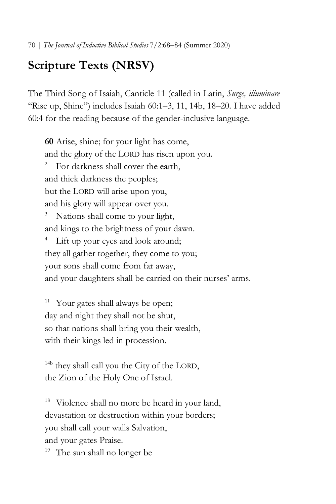# **Scripture Texts (NRSV)**

The Third Song of Isaiah, Canticle 11 (called in Latin, *Surge, illuminare*  "Rise up, Shine") includes Isaiah 60:1–3, 11, 14b, 18–20. I have added 60:4 for the reading because of the gender-inclusive language.

**60** Arise, shine; for your light has come, and the glory of the LORD has risen upon you.<br><sup>2</sup> For darkness shall cover the earth, and thick darkness the peoples; but the LORD will arise upon you, and his glory will appear over you. Nations shall come to your light, and kings to the brightness of your dawn. <sup>4</sup> Lift up your eyes and look around; they all gather together, they come to you; your sons shall come from far away, and your daughters shall be carried on their nurses' arms.

Your gates shall always be open; day and night they shall not be shut, so that nations shall bring you their wealth, with their kings led in procession.

<sup>14b</sup> they shall call you the City of the LORD, the Zion of the Holy One of Israel.

Violence shall no more be heard in your land, devastation or destruction within your borders; you shall call your walls Salvation, and your gates Praise. <sup>19</sup> The sun shall no longer be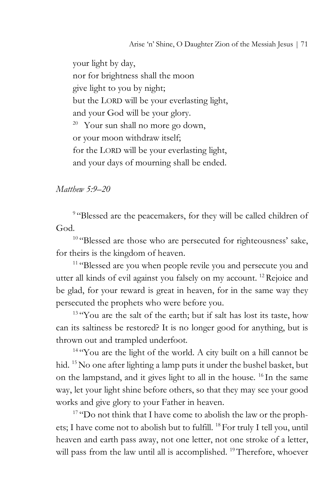your light by day, nor for brightness shall the moon give light to you by night; but the LORD will be your everlasting light, and your God will be your glory.  $20$  Your sun shall no more go down, or your moon withdraw itself; for the LORD will be your everlasting light, and your days of mourning shall be ended.

*Matthew 5:9–20*

<sup>9</sup> "Blessed are the peacemakers, for they will be called children of God.

<sup>10</sup> "Blessed are those who are persecuted for righteousness' sake, for theirs is the kingdom of heaven. 11 "Blessed are you when people revile you and persecute you and

utter all kinds of evil against you falsely on my account.<sup>12</sup> Rejoice and be glad, for your reward is great in heaven, for in the same way they persecuted the prophets who were before you.

<sup>13</sup> "You are the salt of the earth; but if salt has lost its taste, how can its saltiness be restored? It is no longer good for anything, but is thrown out and trampled underfoot.

<sup>14</sup> "You are the light of the world. A city built on a hill cannot be hid. <sup>15</sup> No one after lighting a lamp puts it under the bushel basket, but on the lampstand, and it gives light to all in the house. 16 In the same way, let your light shine before others, so that they may see your good works and give glory to your Father in heaven. 17 "Do not think that I have come to abolish the law or the proph-

ets; I have come not to abolish but to fulfill. <sup>18</sup> For truly I tell you, until heaven and earth pass away, not one letter, not one stroke of a letter, will pass from the law until all is accomplished. <sup>19</sup> Therefore, whoever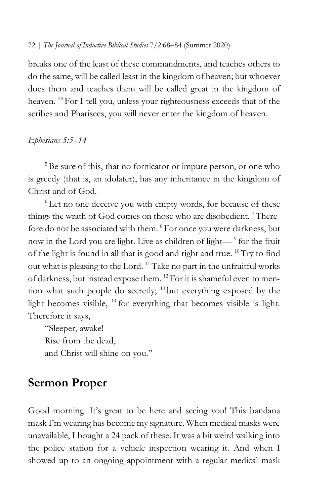breaks one of the least of these commandments, and teaches others to do the same, will be called least in the kingdom of heaven; but whoever does them and teaches them will be called great in the kingdom of heaven. <sup>20</sup> For I tell you, unless your righteousness exceeds that of the scribes and Pharisees, you will never enter the kingdom of heaven.

### *Ephesians 5:5–14*

<sup>5</sup>Be sure of this, that no fornicator or impure person, or one who is greedy (that is, an idolater), has any inheritance in the kingdom of Christ and of God.

<sup>6</sup> Let no one deceive you with empty words, for because of these things the wrath of God comes on those who are disobedient.<sup>7</sup> Therefore do not be associated with them. <sup>8</sup> For once you were darkness, but now in the Lord you are light. Live as children of light—<sup>9</sup> for the fruit of the light is found in all that is good and right and true. 10Try to find out what is pleasing to the Lord. 11Take no part in the unfruitful works of darkness, but instead expose them. 12 For it is shameful even to mention what such people do secretly; 13 but everything exposed by the light becomes visible,  $^{14}$  for everything that becomes visible is light. Therefore it says,

"Sleeper, awake! Rise from the dead, and Christ will shine on you."

# **Sermon Proper**

Good morning. It's great to be here and seeing you! This bandana mask I'm wearing has become my signature. When medical masks were unavailable, I bought a 24 pack of these. It was a bit weird walking into the police station for a vehicle inspection wearing it. And when I showed up to an ongoing appointment with a regular medical mask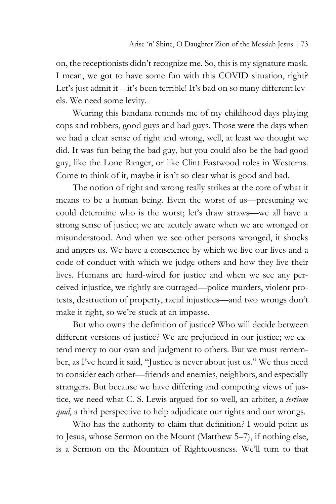on, the receptionists didn't recognize me. So, this is my signature mask. I mean, we got to have some fun with this COVID situation, right? Let's just admit it—it's been terrible! It's bad on so many different levels. We need some levity.

Wearing this bandana reminds me of my childhood days playing cops and robbers, good guys and bad guys. Those were the days when we had a clear sense of right and wrong, well, at least we thought we did. It was fun being the bad guy, but you could also be the bad good guy, like the Lone Ranger, or like Clint Eastwood roles in Westerns. Come to think of it, maybe it isn't so clear what is good and bad.

The notion of right and wrong really strikes at the core of what it means to be a human being. Even the worst of us—presuming we could determine who is the worst; let's draw straws—we all have a strong sense of justice; we are acutely aware when we are wronged or misunderstood. And when we see other persons wronged, it shocks and angers us. We have a conscience by which we live our lives and a code of conduct with which we judge others and how they live their lives. Humans are hard-wired for justice and when we see any perceived injustice, we rightly are outraged—police murders, violent protests, destruction of property, racial injustices—and two wrongs don't make it right, so we're stuck at an impasse.

But who owns the definition of justice? Who will decide between different versions of justice? We are prejudiced in our justice; we extend mercy to our own and judgment to others. But we must remember, as I've heard it said, "Justice is never about just us." We thus need to consider each other—friends and enemies, neighbors, and especially strangers. But because we have differing and competing views of justice, we need what C. S. Lewis argued for so well, an arbiter, a *tertium quid*, a third perspective to help adjudicate our rights and our wrongs.

Who has the authority to claim that definition? I would point us to Jesus, whose Sermon on the Mount (Matthew 5–7), if nothing else, is a Sermon on the Mountain of Righteousness. We'll turn to that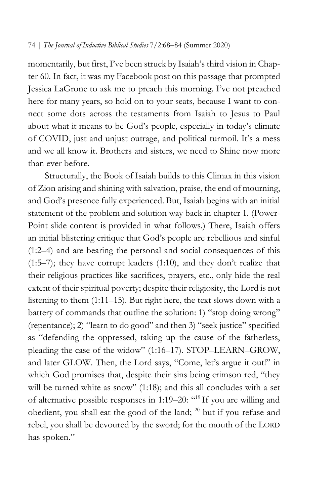momentarily, but first, I've been struck by Isaiah's third vision in Chapter 60. In fact, it was my Facebook post on this passage that prompted Jessica LaGrone to ask me to preach this morning. I've not preached here for many years, so hold on to your seats, because I want to connect some dots across the testaments from Isaiah to Jesus to Paul about what it means to be God's people, especially in today's climate of COVID, just and unjust outrage, and political turmoil. It's a mess and we all know it. Brothers and sisters, we need to Shine now more than ever before.

Structurally, the Book of Isaiah builds to this Climax in this vision of Zion arising and shining with salvation, praise, the end of mourning, and God's presence fully experienced. But, Isaiah begins with an initial statement of the problem and solution way back in chapter 1. (Power-Point slide content is provided in what follows.) There, Isaiah offers an initial blistering critique that God's people are rebellious and sinful (1:2–4) and are bearing the personal and social consequences of this (1:5–7); they have corrupt leaders (1:10), and they don't realize that their religious practices like sacrifices, prayers, etc., only hide the real extent of their spiritual poverty; despite their religiosity, the Lord is not listening to them (1:11–15). But right here, the text slows down with a battery of commands that outline the solution: 1) "stop doing wrong" (repentance); 2) "learn to do good" and then 3) "seek justice" specified as "defending the oppressed, taking up the cause of the fatherless, pleading the case of the widow" (1:16–17). STOP–LEARN–GROW, and later GLOW. Then, the Lord says, "Come, let's argue it out!" in which God promises that, despite their sins being crimson red, "they will be turned white as snow" (1:18); and this all concludes with a set of alternative possible responses in 1:19–20: "19 If you are willing and obedient, you shall eat the good of the land;  $^{20}$  but if you refuse and rebel, you shall be devoured by the sword; for the mouth of the LORD has spoken."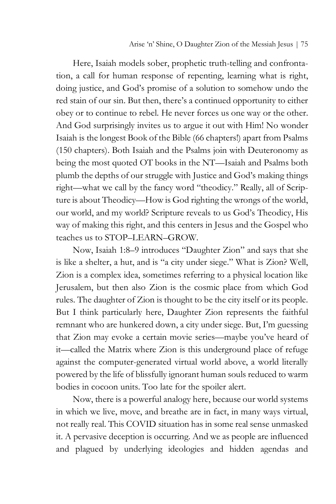Here, Isaiah models sober, prophetic truth-telling and confrontation, a call for human response of repenting, learning what is right, doing justice, and God's promise of a solution to somehow undo the red stain of our sin. But then, there's a continued opportunity to either obey or to continue to rebel. He never forces us one way or the other. And God surprisingly invites us to argue it out with Him! No wonder Isaiah is the longest Book of the Bible (66 chapters!) apart from Psalms (150 chapters). Both Isaiah and the Psalms join with Deuteronomy as being the most quoted OT books in the NT—Isaiah and Psalms both plumb the depths of our struggle with Justice and God's making things right—what we call by the fancy word "theodicy." Really, all of Scripture is about Theodicy—How is God righting the wrongs of the world, our world, and my world? Scripture reveals to us God's Theodicy, His way of making this right, and this centers in Jesus and the Gospel who teaches us to STOP–LEARN–GROW.

Now, Isaiah 1:8–9 introduces "Daughter Zion" and says that she is like a shelter, a hut, and is "a city under siege." What is Zion? Well, Zion is a complex idea, sometimes referring to a physical location like Jerusalem, but then also Zion is the cosmic place from which God rules. The daughter of Zion is thought to be the city itself or its people. But I think particularly here, Daughter Zion represents the faithful remnant who are hunkered down, a city under siege. But, I'm guessing that Zion may evoke a certain movie series—maybe you've heard of it—called the Matrix where Zion is this underground place of refuge against the computer-generated virtual world above, a world literally powered by the life of blissfully ignorant human souls reduced to warm bodies in cocoon units. Too late for the spoiler alert.

Now, there is a powerful analogy here, because our world systems in which we live, move, and breathe are in fact, in many ways virtual, not really real. This COVID situation has in some real sense unmasked it. A pervasive deception is occurring. And we as people are influenced and plagued by underlying ideologies and hidden agendas and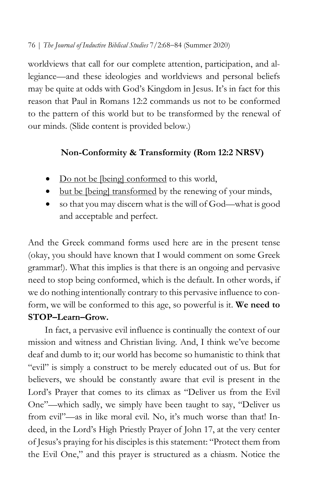worldviews that call for our complete attention, participation, and allegiance—and these ideologies and worldviews and personal beliefs may be quite at odds with God's Kingdom in Jesus. It's in fact for this reason that Paul in Romans 12:2 commands us not to be conformed to the pattern of this world but to be transformed by the renewal of our minds. (Slide content is provided below.)

# **Non-Conformity & Transformity (Rom 12:2 NRSV)**

- Do not be [being] conformed to this world,
- but be [being] transformed by the renewing of your minds,
- so that you may discern what is the will of God—what is good and acceptable and perfect.

And the Greek command forms used here are in the present tense (okay, you should have known that I would comment on some Greek grammar!). What this implies is that there is an ongoing and pervasive need to stop being conformed, which is the default. In other words, if we do nothing intentionally contrary to this pervasive influence to conform, we will be conformed to this age, so powerful is it. **We need to STOP–Learn–Grow.**

In fact, a pervasive evil influence is continually the context of our mission and witness and Christian living. And, I think we've become deaf and dumb to it; our world has become so humanistic to think that "evil" is simply a construct to be merely educated out of us. But for believers, we should be constantly aware that evil is present in the Lord's Prayer that comes to its climax as "Deliver us from the Evil One"—which sadly, we simply have been taught to say, "Deliver us from evil"—as in like moral evil. No, it's much worse than that! Indeed, in the Lord's High Priestly Prayer of John 17, at the very center of Jesus's praying for his disciples is this statement: "Protect them from the Evil One," and this prayer is structured as a chiasm. Notice the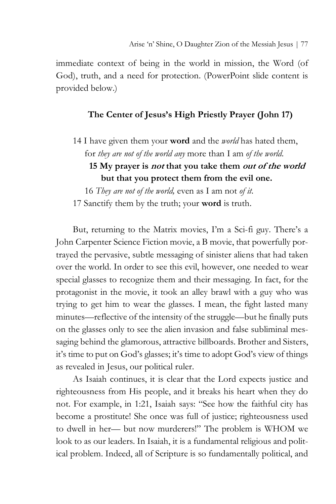immediate context of being in the world in mission, the Word (of God), truth, and a need for protection. (PowerPoint slide content is provided below.)

### **The Center of Jesus's High Priestly Prayer (John 17)**

14 I have given them your **word** and the *world* has hated them, for *they are not of the world any* more than I am *of the world*.  **15 My prayer is not that you take them out of the world but that you protect them from the evil one.**

 16 *They are not of the world,* even as I am not *of it*. 17 Sanctify them by the truth; your **word** is truth.

But, returning to the Matrix movies, I'm a Sci-fi guy. There's a John Carpenter Science Fiction movie, a B movie, that powerfully portrayed the pervasive, subtle messaging of sinister aliens that had taken over the world. In order to see this evil, however, one needed to wear special glasses to recognize them and their messaging. In fact, for the protagonist in the movie, it took an alley brawl with a guy who was trying to get him to wear the glasses. I mean, the fight lasted many minutes—reflective of the intensity of the struggle—but he finally puts on the glasses only to see the alien invasion and false subliminal messaging behind the glamorous, attractive billboards. Brother and Sisters, it's time to put on God's glasses; it's time to adopt God's view of things as revealed in Jesus, our political ruler.

As Isaiah continues, it is clear that the Lord expects justice and righteousness from His people, and it breaks his heart when they do not. For example, in 1:21, Isaiah says: "See how the faithful city has become a prostitute! She once was full of justice; righteousness used to dwell in her— but now murderers!" The problem is WHOM we look to as our leaders. In Isaiah, it is a fundamental religious and political problem. Indeed, all of Scripture is so fundamentally political, and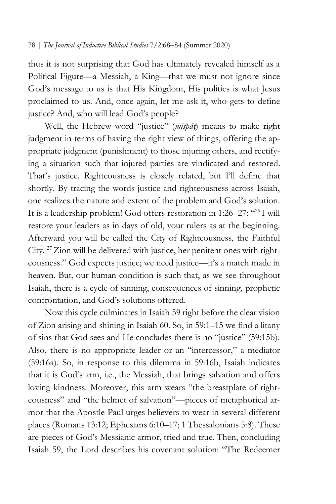thus it is not surprising that God has ultimately revealed himself as a Political Figure—a Messiah, a King—that we must not ignore since God's message to us is that His Kingdom, His politics is what Jesus proclaimed to us. And, once again, let me ask it, who gets to define justice? And, who will lead God's people?

Well, the Hebrew word "justice" (*mišpā*ṭ) means to make right judgment in terms of having the right view of things, offering the appropriate judgment (punishment) to those injuring others, and rectifying a situation such that injured parties are vindicated and restored. That's justice. Righteousness is closely related, but I'll define that shortly. By tracing the words justice and righteousness across Isaiah, one realizes the nature and extent of the problem and God's solution. It is a leadership problem! God offers restoration in 1:26–27: "26 I will restore your leaders as in days of old, your rulers as at the beginning. Afterward you will be called the City of Righteousness, the Faithful City. <sup>27</sup> Zion will be delivered with justice, her penitent ones with righteousness." God expects justice; we need justice—it's a match made in heaven. But, our human condition is such that, as we see throughout Isaiah, there is a cycle of sinning, consequences of sinning, prophetic confrontation, and God's solutions offered.

Now this cycle culminates in Isaiah 59 right before the clear vision of Zion arising and shining in Isaiah 60. So, in 59:1–15 we find a litany of sins that God sees and He concludes there is no "justice" (59:15b). Also, there is no appropriate leader or an "intercessor," a mediator (59:16a). So, in response to this dilemma in 59:16b, Isaiah indicates that it is God's arm, i.e., the Messiah, that brings salvation and offers loving kindness. Moreover, this arm wears "the breastplate of righteousness" and "the helmet of salvation"—pieces of metaphorical armor that the Apostle Paul urges believers to wear in several different places (Romans 13:12; Ephesians 6:10–17; 1 Thessalonians 5:8). These are pieces of God's Messianic armor, tried and true. Then, concluding Isaiah 59, the Lord describes his covenant solution: "The Redeemer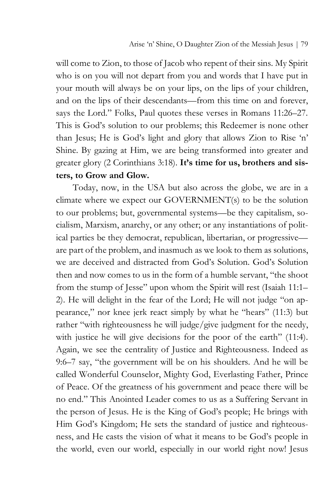will come to Zion, to those of Jacob who repent of their sins. My Spirit who is on you will not depart from you and words that I have put in your mouth will always be on your lips, on the lips of your children, and on the lips of their descendants—from this time on and forever, says the Lord." Folks, Paul quotes these verses in Romans 11:26–27. This is God's solution to our problems; this Redeemer is none other than Jesus; He is God's light and glory that allows Zion to Rise 'n' Shine. By gazing at Him, we are being transformed into greater and greater glory (2 Corinthians 3:18). **It's time for us, brothers and sisters, to Grow and Glow.**

Today, now, in the USA but also across the globe, we are in a climate where we expect our GOVERNMENT(s) to be the solution to our problems; but, governmental systems—be they capitalism, socialism, Marxism, anarchy, or any other; or any instantiations of political parties be they democrat, republican, libertarian, or progressive are part of the problem, and inasmuch as we look to them as solutions, we are deceived and distracted from God's Solution. God's Solution then and now comes to us in the form of a humble servant, "the shoot from the stump of Jesse" upon whom the Spirit will rest (Isaiah 11:1– 2). He will delight in the fear of the Lord; He will not judge "on appearance," nor knee jerk react simply by what he "hears" (11:3) but rather "with righteousness he will judge/give judgment for the needy, with justice he will give decisions for the poor of the earth" (11:4). Again, we see the centrality of Justice and Righteousness. Indeed as 9:6–7 say, "the government will be on his shoulders. And he will be called Wonderful Counselor, Mighty God, Everlasting Father, Prince of Peace. Of the greatness of his government and peace there will be no end." This Anointed Leader comes to us as a Suffering Servant in the person of Jesus. He is the King of God's people; He brings with Him God's Kingdom; He sets the standard of justice and righteousness, and He casts the vision of what it means to be God's people in the world, even our world, especially in our world right now! Jesus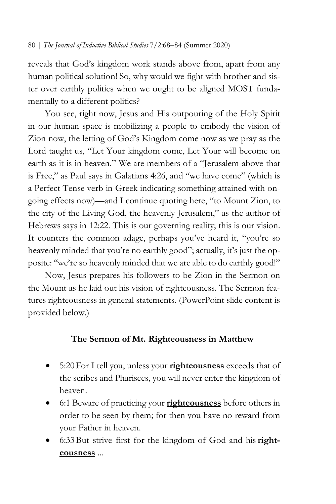reveals that God's kingdom work stands above from, apart from any human political solution! So, why would we fight with brother and sister over earthly politics when we ought to be aligned MOST fundamentally to a different politics?

You see, right now, Jesus and His outpouring of the Holy Spirit in our human space is mobilizing a people to embody the vision of Zion now, the letting of God's Kingdom come now as we pray as the Lord taught us, "Let Your kingdom come, Let Your will become on earth as it is in heaven." We are members of a "Jerusalem above that is Free," as Paul says in Galatians 4:26, and "we have come" (which is a Perfect Tense verb in Greek indicating something attained with ongoing effects now)—and I continue quoting here, "to Mount Zion, to the city of the Living God, the heavenly Jerusalem," as the author of Hebrews says in 12:22. This is our governing reality; this is our vision. It counters the common adage, perhaps you've heard it, "you're so heavenly minded that you're no earthly good"; actually, it's just the opposite: "we're so heavenly minded that we are able to do earthly good!"

Now, Jesus prepares his followers to be Zion in the Sermon on the Mount as he laid out his vision of righteousness. The Sermon features righteousness in general statements. (PowerPoint slide content is provided below.)

# **The Sermon of Mt. Righteousness in Matthew**

- 5:20For I tell you, unless your **righteousness** exceeds that of the scribes and Pharisees, you will never enter the kingdom of heaven.
- 6:1 Beware of practicing your **righteousness** before others in order to be seen by them; for then you have no reward from your Father in heaven.
- 6:33But strive first for the kingdom of God and his **righteousness** ...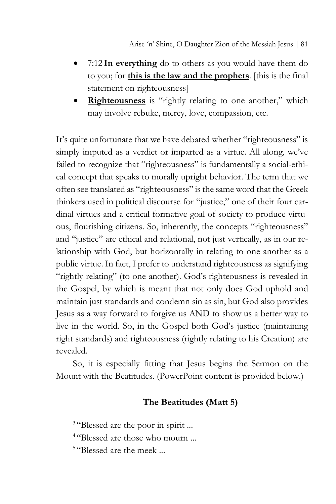- 7:12 **In everything** do to others as you would have them do to you; for **this is the law and the prophets**. [this is the final statement on righteousness]
- **Righteousness** is "rightly relating to one another," which may involve rebuke, mercy, love, compassion, etc.

It's quite unfortunate that we have debated whether "righteousness" is simply imputed as a verdict or imparted as a virtue. All along, we've failed to recognize that "righteousness" is fundamentally a social-ethical concept that speaks to morally upright behavior. The term that we often see translated as "righteousness" is the same word that the Greek thinkers used in political discourse for "justice," one of their four cardinal virtues and a critical formative goal of society to produce virtuous, flourishing citizens. So, inherently, the concepts "righteousness" and "justice" are ethical and relational, not just vertically, as in our relationship with God, but horizontally in relating to one another as a public virtue. In fact, I prefer to understand righteousness as signifying "rightly relating" (to one another). God's righteousness is revealed in the Gospel, by which is meant that not only does God uphold and maintain just standards and condemn sin as sin, but God also provides Jesus as a way forward to forgive us AND to show us a better way to live in the world. So, in the Gospel both God's justice (maintaining right standards) and righteousness (rightly relating to his Creation) are revealed.

So, it is especially fitting that Jesus begins the Sermon on the Mount with the Beatitudes. (PowerPoint content is provided below.)

# **The Beatitudes (Matt 5)**

<sup>3</sup> "Blessed are the poor in spirit ...

<sup>4</sup> "Blessed are those who mourn ...

<sup>5</sup> "Blessed are the meek ...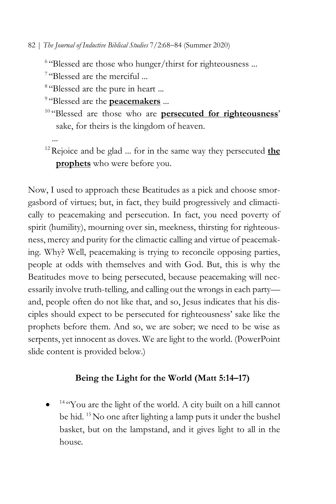<sup>6</sup> "Blessed are those who hunger/thirst for righteousness ...

<sup>7</sup> "Blessed are the merciful ...

<sup>8</sup> "Blessed are the pure in heart ...

<sup>9</sup> "Blessed are the **peacemakers** ...

<sup>10</sup> "Blessed are those who are **persecuted for righteousness**' sake, for theirs is the kingdom of heaven.

...

<sup>12</sup> Rejoice and be glad ... for in the same way they persecuted **the prophets** who were before you.

Now, I used to approach these Beatitudes as a pick and choose smorgasbord of virtues; but, in fact, they build progressively and climactically to peacemaking and persecution. In fact, you need poverty of spirit (humility), mourning over sin, meekness, thirsting for righteousness, mercy and purity for the climactic calling and virtue of peacemaking. Why? Well, peacemaking is trying to reconcile opposing parties, people at odds with themselves and with God. But, this is why the Beatitudes move to being persecuted, because peacemaking will necessarily involve truth-telling, and calling out the wrongs in each party and, people often do not like that, and so, Jesus indicates that his disciples should expect to be persecuted for righteousness' sake like the prophets before them. And so, we are sober; we need to be wise as serpents, yet innocent as doves. We are light to the world. (PowerPoint slide content is provided below.)

# **Being the Light for the World (Matt 5:14–17)**

 $14$  "You are the light of the world. A city built on a hill cannot be hid. <sup>15</sup> No one after lighting a lamp puts it under the bushel basket, but on the lampstand, and it gives light to all in the house.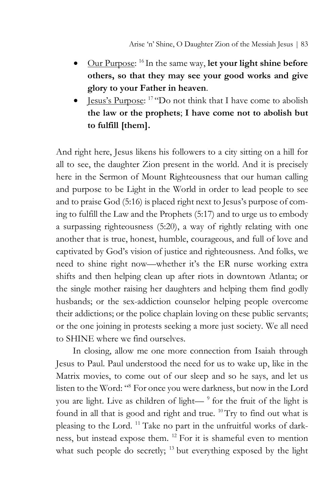- Our Purpose: 16 In the same way, **let your light shine before others, so that they may see your good works and give glory to your Father in heaven**.
- <u>Jesus's Purpose</u>:  $17$  "Do not think that I have come to abolish **the law or the prophets**; **I have come not to abolish but to fulfill [them].**

And right here, Jesus likens his followers to a city sitting on a hill for all to see, the daughter Zion present in the world. And it is precisely here in the Sermon of Mount Righteousness that our human calling and purpose to be Light in the World in order to lead people to see and to praise God (5:16) is placed right next to Jesus's purpose of coming to fulfill the Law and the Prophets (5:17) and to urge us to embody a surpassing righteousness (5:20), a way of rightly relating with one another that is true, honest, humble, courageous, and full of love and captivated by God's vision of justice and righteousness. And folks, we need to shine right now—whether it's the ER nurse working extra shifts and then helping clean up after riots in downtown Atlanta; or the single mother raising her daughters and helping them find godly husbands; or the sex-addiction counselor helping people overcome their addictions; or the police chaplain loving on these public servants; or the one joining in protests seeking a more just society. We all need to SHINE where we find ourselves.

In closing, allow me one more connection from Isaiah through Jesus to Paul. Paul understood the need for us to wake up, like in the Matrix movies, to come out of our sleep and so he says, and let us listen to the Word: "8 For once you were darkness, but now in the Lord you are light. Live as children of light—<sup>9</sup> for the fruit of the light is found in all that is good and right and true. 10Try to find out what is pleasing to the Lord. 11 Take no part in the unfruitful works of darkness, but instead expose them. 12 For it is shameful even to mention what such people do secretly;  $13$  but everything exposed by the light